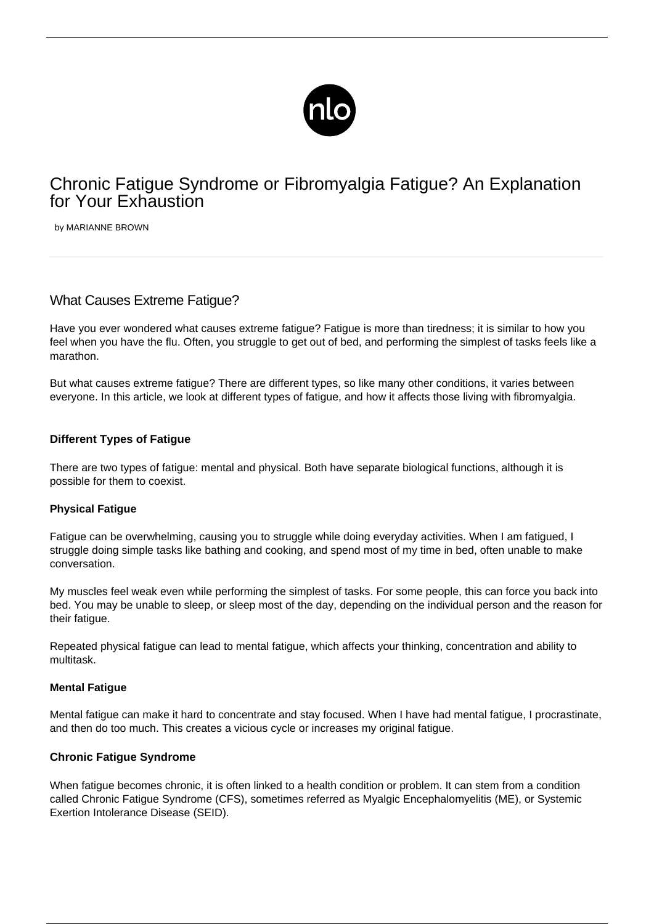

# Chronic Fatigue Syndrome or Fibromyalgia Fatigue? An Explanation for Your Exhaustion

by MARIANNE BROWN

# What Causes Extreme Fatigue?

Have you ever wondered what causes extreme fatigue? Fatigue is more than tiredness; it is similar to how you feel when you have the flu. Often, you struggle to get out of bed, and performing the simplest of tasks feels like a marathon.

But what causes extreme fatigue? There are different types, so like many other conditions, it varies between everyone. In this article, we look at different types of fatigue, and how it affects those living with fibromyalgia.

# **Different Types of Fatigue**

There are [two types of fatigue:](https://www.meresearch.org.uk/types-of-fatigue/) mental and physical. Both have separate biological functions, although it is possible for them to coexist.

# **Physical Fatigue**

[Fatigue](/fibromyalgia-fatigue/) can be overwhelming, causing you to struggle while doing everyday activities. When I am fatigued, I struggle doing simple tasks like bathing and cooking, and spend most of my time in bed, often unable to make conversation.

My muscles feel weak even while performing the simplest of tasks. For some people, this can force you back into bed. You may be unable to sleep, or sleep most of the day, depending on the individual person and the reason for their fatigue.

Repeated physical fatigue can lead to mental fatigue, which affects your thinking, concentration and ability to multitask.

# **Mental Fatigue**

Mental fatigue can make it hard to concentrate and stay focused. When I have had mental fatigue, I procrastinate, and then do too much. This creates a vicious cycle or increases my original fatigue.

# **Chronic Fatigue Syndrome**

When fatigue becomes chronic, it is often linked to a health condition or problem. It can stem from a condition called Chronic Fatigue Syndrome (CFS), sometimes referred as Myalgic Encephalomyelitis (ME), or Systemic Exertion Intolerance Disease (SEID).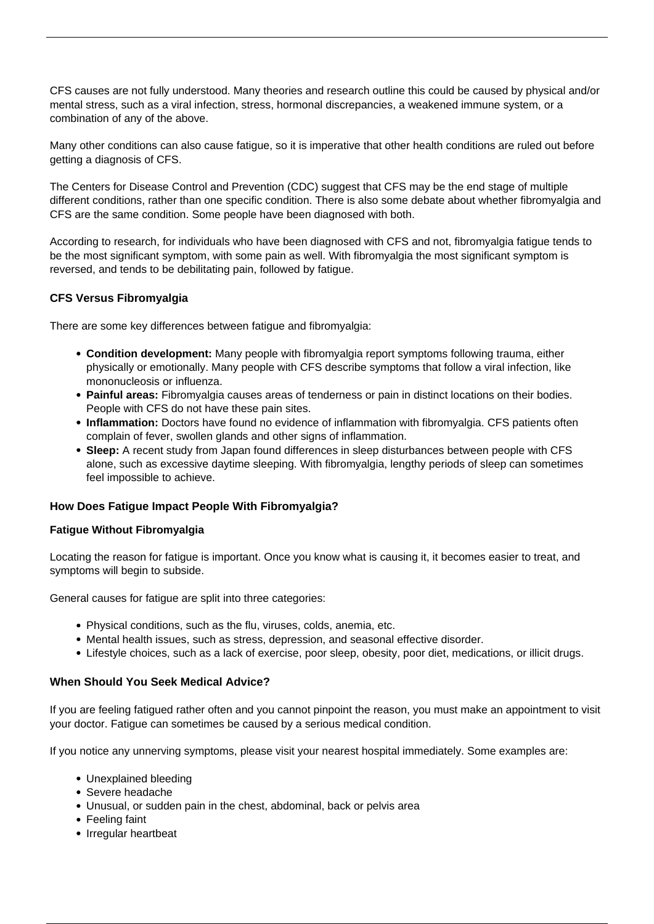CFS causes are not fully understood. Many theories and research outline this could be caused by physical and/or mental stress, such as a viral infection, stress, hormonal discrepancies, a weakened immune system, or a combination of any of the above.

Many other conditions can also cause fatigue, so it is imperative that other health conditions are ruled out before getting a diagnosis of CFS.

The [Centers for Disease Control and Prevention \(CDC\)](https://www.cdc.gov/me-cfs/index.html) suggest that CFS may be the end stage of multiple different conditions, rather than one specific condition. There is also some debate about whether fibromyalgia and CFS are the same condition. Some people have been diagnosed with both.

According to research, for individuals who have been diagnosed with CFS and not, [fibromyalgia fatigue](https://www.practicalpainmanagement.com/pain/myofascial/fibromyalgia/fibromyalgia-chronic-fatigue-chronic-fatigue-syndrome) tends to be the most significant symptom, with some pain as well. With fibromyalgia the most significant symptom is reversed, and tends to be debilitating pain, followed by fatigue.

# **CFS Versus Fibromyalgia**

There are some key differences between fatigue and fibromyalgia:

- **Condition development:** Many people with fibromyalgia report symptoms following trauma, either physically or emotionally. Many people with CFS describe symptoms that follow a viral infection, like mononucleosis or influenza.
- **Painful areas:** Fibromyalgia causes areas of tenderness or pain in distinct locations on their bodies. People with CFS do not have these pain sites.
- **Inflammation:** Doctors have found no evidence of inflammation with fibromyalgia. CFS patients often complain of fever, swollen glands and other signs of inflammation.
- **Sleep:** [A recent study](https://www.ncbi.nlm.nih.gov/pmc/articles/PMC3198210/) from Japan found differences in sleep disturbances between people with CFS alone, such as excessive daytime sleeping. With fibromyalgia, lengthy periods of sleep can sometimes feel impossible to achieve.

# **How Does Fatigue Impact People With Fibromyalgia?**

# **Fatigue Without Fibromyalgia**

Locating the reason for fatigue is important. Once you know what is causing it, it becomes easier to treat, and symptoms will begin to subside.

General causes for fatigue are split into three categories:

- Physical conditions, such as the flu, viruses, colds, anemia, etc.
- Mental health issues, such as stress, depression, and seasonal effective disorder.
- Lifestyle choices, such as a lack of exercise, poor sleep, obesity, poor diet, medications, or illicit drugs.

# **When Should You Seek Medical Advice?**

If you are feeling fatigued rather often and you cannot pinpoint the reason, you must make an appointment to visit your doctor. Fatigue can sometimes be caused by a serious medical condition.

If you notice any unnerving symptoms, please visit your nearest hospital immediately. Some examples are:

- Unexplained bleeding
- Severe headache
- Unusual, or sudden pain in the chest, abdominal, back or pelvis area
- Feeling faint
- Irregular heartbeat